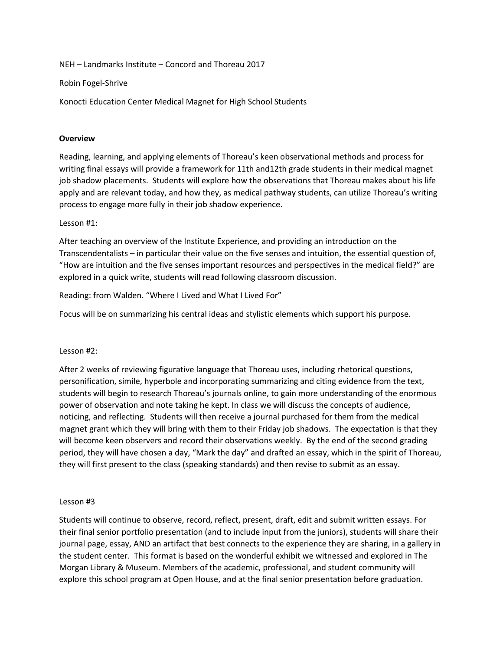NEH – Landmarks Institute – Concord and Thoreau 2017

Robin Fogel-Shrive

Konocti Education Center Medical Magnet for High School Students

## **Overview**

Reading, learning, and applying elements of Thoreau's keen observational methods and process for writing final essays will provide a framework for 11th and12th grade students in their medical magnet job shadow placements. Students will explore how the observations that Thoreau makes about his life apply and are relevant today, and how they, as medical pathway students, can utilize Thoreau's writing process to engage more fully in their job shadow experience.

## Lesson #1:

After teaching an overview of the Institute Experience, and providing an introduction on the Transcendentalists – in particular their value on the five senses and intuition, the essential question of, "How are intuition and the five senses important resources and perspectives in the medical field?" are explored in a quick write, students will read following classroom discussion.

Reading: from Walden. "Where I Lived and What I Lived For"

Focus will be on summarizing his central ideas and stylistic elements which support his purpose.

## Lesson #2:

After 2 weeks of reviewing figurative language that Thoreau uses, including rhetorical questions, personification, simile, hyperbole and incorporating summarizing and citing evidence from the text, students will begin to research Thoreau's journals online, to gain more understanding of the enormous power of observation and note taking he kept. In class we will discuss the concepts of audience, noticing, and reflecting. Students will then receive a journal purchased for them from the medical magnet grant which they will bring with them to their Friday job shadows. The expectation is that they will become keen observers and record their observations weekly. By the end of the second grading period, they will have chosen a day, "Mark the day" and drafted an essay, which in the spirit of Thoreau, they will first present to the class (speaking standards) and then revise to submit as an essay.

## Lesson #3

Students will continue to observe, record, reflect, present, draft, edit and submit written essays. For their final senior portfolio presentation (and to include input from the juniors), students will share their journal page, essay, AND an artifact that best connects to the experience they are sharing, in a gallery in the student center. This format is based on the wonderful exhibit we witnessed and explored in The Morgan Library & Museum. Members of the academic, professional, and student community will explore this school program at Open House, and at the final senior presentation before graduation.